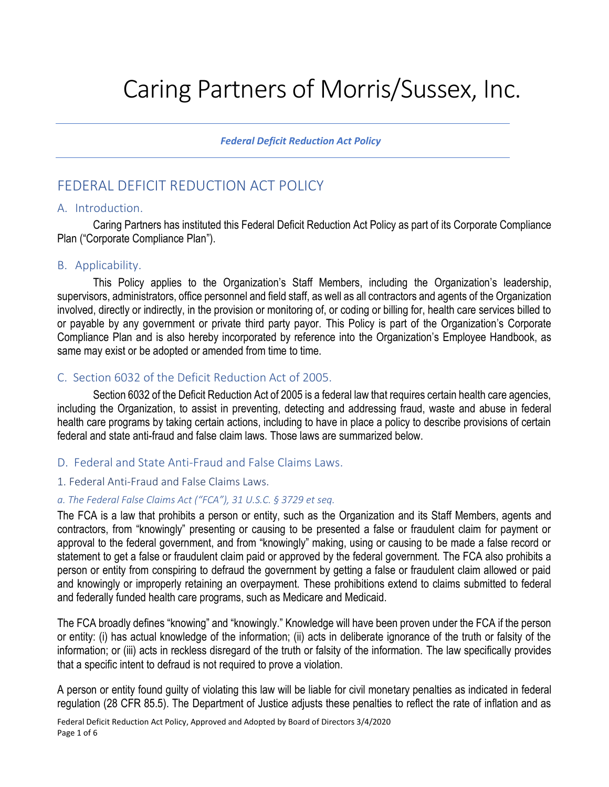# Caring Partners of Morris/Sussex, Inc.

*Federal Deficit Reduction Act Policy*

# FEDERAL DEFICIT REDUCTION ACT POLICY

#### A. Introduction.

Caring Partners has instituted this Federal Deficit Reduction Act Policy as part of its Corporate Compliance Plan ("Corporate Compliance Plan").

## B. Applicability.

This Policy applies to the Organization's Staff Members, including the Organization's leadership, supervisors, administrators, office personnel and field staff, as well as all contractors and agents of the Organization involved, directly or indirectly, in the provision or monitoring of, or coding or billing for, health care services billed to or payable by any government or private third party payor. This Policy is part of the Organization's Corporate Compliance Plan and is also hereby incorporated by reference into the Organization's Employee Handbook, as same may exist or be adopted or amended from time to time.

## C. Section 6032 of the Deficit Reduction Act of 2005.

Section 6032 of the Deficit Reduction Act of 2005 is a federal law that requires certain health care agencies, including the Organization, to assist in preventing, detecting and addressing fraud, waste and abuse in federal health care programs by taking certain actions, including to have in place a policy to describe provisions of certain federal and state anti-fraud and false claim laws. Those laws are summarized below.

#### D. Federal and State Anti-Fraud and False Claims Laws.

#### 1. Federal Anti-Fraud and False Claims Laws.

#### *a. The Federal False Claims Act ("FCA"), 31 U.S.C. § 3729 et seq.*

The FCA is a law that prohibits a person or entity, such as the Organization and its Staff Members, agents and contractors, from "knowingly" presenting or causing to be presented a false or fraudulent claim for payment or approval to the federal government, and from "knowingly" making, using or causing to be made a false record or statement to get a false or fraudulent claim paid or approved by the federal government. The FCA also prohibits a person or entity from conspiring to defraud the government by getting a false or fraudulent claim allowed or paid and knowingly or improperly retaining an overpayment. These prohibitions extend to claims submitted to federal and federally funded health care programs, such as Medicare and Medicaid.

The FCA broadly defines "knowing" and "knowingly." Knowledge will have been proven under the FCA if the person or entity: (i) has actual knowledge of the information; (ii) acts in deliberate ignorance of the truth or falsity of the information; or (iii) acts in reckless disregard of the truth or falsity of the information. The law specifically provides that a specific intent to defraud is not required to prove a violation.

A person or entity found guilty of violating this law will be liable for civil monetary penalties as indicated in federal regulation (28 CFR 85.5). The Department of Justice adjusts these penalties to reflect the rate of inflation and as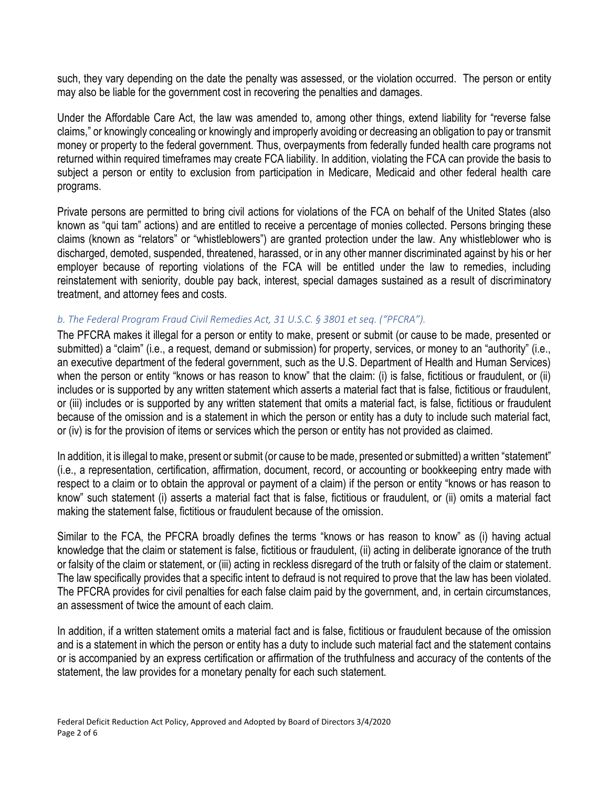such, they vary depending on the date the penalty was assessed, or the violation occurred. The person or entity may also be liable for the government cost in recovering the penalties and damages.

Under the Affordable Care Act, the law was amended to, among other things, extend liability for "reverse false claims," or knowingly concealing or knowingly and improperly avoiding or decreasing an obligation to pay or transmit money or property to the federal government. Thus, overpayments from federally funded health care programs not returned within required timeframes may create FCA liability. In addition, violating the FCA can provide the basis to subject a person or entity to exclusion from participation in Medicare, Medicaid and other federal health care programs.

Private persons are permitted to bring civil actions for violations of the FCA on behalf of the United States (also known as "qui tam" actions) and are entitled to receive a percentage of monies collected. Persons bringing these claims (known as "relators" or "whistleblowers") are granted protection under the law. Any whistleblower who is discharged, demoted, suspended, threatened, harassed, or in any other manner discriminated against by his or her employer because of reporting violations of the FCA will be entitled under the law to remedies, including reinstatement with seniority, double pay back, interest, special damages sustained as a result of discriminatory treatment, and attorney fees and costs.

#### *b. The Federal Program Fraud Civil Remedies Act, 31 U.S.C. § 3801 et seq. ("PFCRA").*

The PFCRA makes it illegal for a person or entity to make, present or submit (or cause to be made, presented or submitted) a "claim" (i.e., a request, demand or submission) for property, services, or money to an "authority" (i.e., an executive department of the federal government, such as the U.S. Department of Health and Human Services) when the person or entity "knows or has reason to know" that the claim: (i) is false, fictitious or fraudulent, or (ii) includes or is supported by any written statement which asserts a material fact that is false, fictitious or fraudulent, or (iii) includes or is supported by any written statement that omits a material fact, is false, fictitious or fraudulent because of the omission and is a statement in which the person or entity has a duty to include such material fact, or (iv) is for the provision of items or services which the person or entity has not provided as claimed.

In addition, it is illegal to make, present or submit (or cause to be made, presented or submitted) a written "statement" (i.e., a representation, certification, affirmation, document, record, or accounting or bookkeeping entry made with respect to a claim or to obtain the approval or payment of a claim) if the person or entity "knows or has reason to know" such statement (i) asserts a material fact that is false, fictitious or fraudulent, or (ii) omits a material fact making the statement false, fictitious or fraudulent because of the omission.

Similar to the FCA, the PFCRA broadly defines the terms "knows or has reason to know" as (i) having actual knowledge that the claim or statement is false, fictitious or fraudulent, (ii) acting in deliberate ignorance of the truth or falsity of the claim or statement, or (iii) acting in reckless disregard of the truth or falsity of the claim or statement. The law specifically provides that a specific intent to defraud is not required to prove that the law has been violated. The PFCRA provides for civil penalties for each false claim paid by the government, and, in certain circumstances, an assessment of twice the amount of each claim.

In addition, if a written statement omits a material fact and is false, fictitious or fraudulent because of the omission and is a statement in which the person or entity has a duty to include such material fact and the statement contains or is accompanied by an express certification or affirmation of the truthfulness and accuracy of the contents of the statement, the law provides for a monetary penalty for each such statement.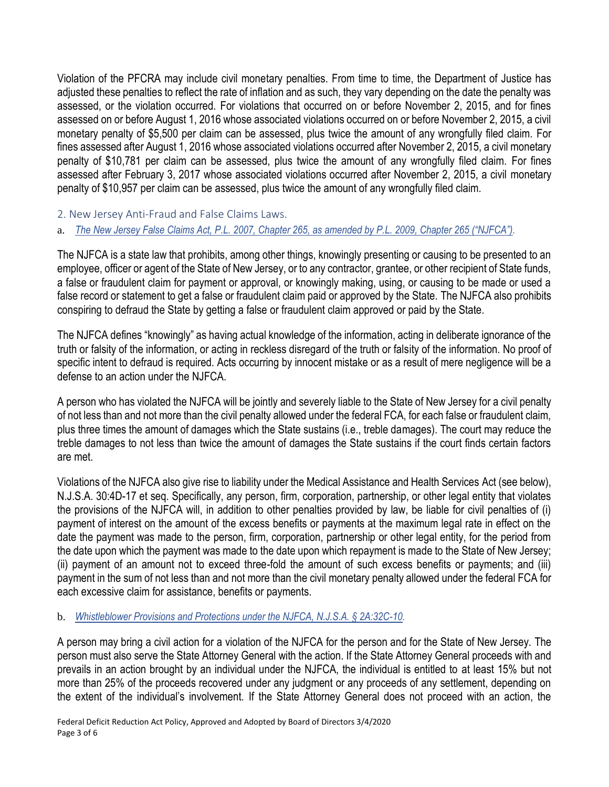Violation of the PFCRA may include civil monetary penalties. From time to time, the Department of Justice has adjusted these penalties to reflect the rate of inflation and as such, they vary depending on the date the penalty was assessed, or the violation occurred. For violations that occurred on or before November 2, 2015, and for fines assessed on or before August 1, 2016 whose associated violations occurred on or before November 2, 2015, a civil monetary penalty of \$5,500 per claim can be assessed, plus twice the amount of any wrongfully filed claim. For fines assessed after August 1, 2016 whose associated violations occurred after November 2, 2015, a civil monetary penalty of \$10,781 per claim can be assessed, plus twice the amount of any wrongfully filed claim. For fines assessed after February 3, 2017 whose associated violations occurred after November 2, 2015, a civil monetary penalty of \$10,957 per claim can be assessed, plus twice the amount of any wrongfully filed claim.

2. New Jersey Anti-Fraud and False Claims Laws.

a. *The New Jersey False Claims Act, P.L. 2007, Chapter 265, as amended by P.L. 2009, Chapter 265 ("NJFCA").*

The NJFCA is a state law that prohibits, among other things, knowingly presenting or causing to be presented to an employee, officer or agent of the State of New Jersey, or to any contractor, grantee, or other recipient of State funds, a false or fraudulent claim for payment or approval, or knowingly making, using, or causing to be made or used a false record or statement to get a false or fraudulent claim paid or approved by the State. The NJFCA also prohibits conspiring to defraud the State by getting a false or fraudulent claim approved or paid by the State.

The NJFCA defines "knowingly" as having actual knowledge of the information, acting in deliberate ignorance of the truth or falsity of the information, or acting in reckless disregard of the truth or falsity of the information. No proof of specific intent to defraud is required. Acts occurring by innocent mistake or as a result of mere negligence will be a defense to an action under the NJFCA.

A person who has violated the NJFCA will be jointly and severely liable to the State of New Jersey for a civil penalty of not less than and not more than the civil penalty allowed under the federal FCA, for each false or fraudulent claim, plus three times the amount of damages which the State sustains (i.e., treble damages). The court may reduce the treble damages to not less than twice the amount of damages the State sustains if the court finds certain factors are met.

Violations of the NJFCA also give rise to liability under the Medical Assistance and Health Services Act (see below), N.J.S.A. 30:4D-17 et seq. Specifically, any person, firm, corporation, partnership, or other legal entity that violates the provisions of the NJFCA will, in addition to other penalties provided by law, be liable for civil penalties of (i) payment of interest on the amount of the excess benefits or payments at the maximum legal rate in effect on the date the payment was made to the person, firm, corporation, partnership or other legal entity, for the period from the date upon which the payment was made to the date upon which repayment is made to the State of New Jersey; (ii) payment of an amount not to exceed three-fold the amount of such excess benefits or payments; and (iii) payment in the sum of not less than and not more than the civil monetary penalty allowed under the federal FCA for each excessive claim for assistance, benefits or payments.

# b. *Whistleblower Provisions and Protections under the NJFCA, N.J.S.A. § 2A:32C-10.*

A person may bring a civil action for a violation of the NJFCA for the person and for the State of New Jersey. The person must also serve the State Attorney General with the action. If the State Attorney General proceeds with and prevails in an action brought by an individual under the NJFCA, the individual is entitled to at least 15% but not more than 25% of the proceeds recovered under any judgment or any proceeds of any settlement, depending on the extent of the individual's involvement. If the State Attorney General does not proceed with an action, the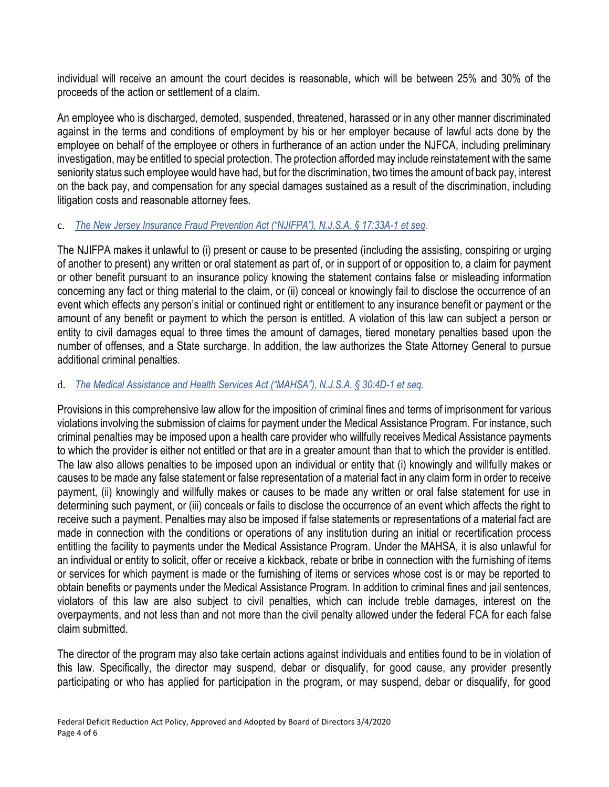individual will receive an amount the court decides is reasonable, which will be between 25% and 30% of the proceeds of the action or settlement of a claim.

An employee who is discharged, demoted, suspended, threatened, harassed or in any other manner discriminated against in the terms and conditions of employment by his or her employer because of lawful acts done by the employee on behalf of the employee or others in furtherance of an action under the NJFCA, including preliminary investigation, may be entitled to special protection. The protection afforded may include reinstatement with the same seniority status such employee would have had, but for the discrimination, two times the amount of back pay, interest on the back pay, and compensation for any special damages sustained as a result of the discrimination, including litigation costs and reasonable attorney fees.

#### c. *The New Jersey Insurance Fraud Prevention Act ("NJIFPA"), N.J.S.A. § 17:33A-1 et seq.*

The NJIFPA makes it unlawful to (i) present or cause to be presented (including the assisting, conspiring or urging of another to present) any written or oral statement as part of, or in support of or opposition to, a claim for payment or other benefit pursuant to an insurance policy knowing the statement contains false or misleading information concerning any fact or thing material to the claim, or (ii) conceal or knowingly fail to disclose the occurrence of an event which effects any person's initial or continued right or entitlement to any insurance benefit or payment or the amount of any benefit or payment to which the person is entitled. A violation of this law can subject a person or entity to civil damages equal to three times the amount of damages, tiered monetary penalties based upon the number of offenses, and a State surcharge. In addition, the law authorizes the State Attorney General to pursue additional criminal penalties.

#### d. *The Medical Assistance and Health Services Act ("MAHSA"), N.J.S.A. § 30:4D-1 et seq.*

Provisions in this comprehensive law allow for the imposition of criminal fines and terms of imprisonment for various violations involving the submission of claims for payment under the Medical Assistance Program. For instance, such criminal penalties may be imposed upon a health care provider who willfully receives Medical Assistance payments to which the provider is either not entitled or that are in a greater amount than that to which the provider is entitled. The law also allows penalties to be imposed upon an individual or entity that (i) knowingly and willfully makes or causes to be made any false statement or false representation of a material fact in any claim form in order to receive payment, (ii) knowingly and willfully makes or causes to be made any written or oral false statement for use in determining such payment, or (iii) conceals or fails to disclose the occurrence of an event which affects the right to receive such a payment. Penalties may also be imposed if false statements or representations of a material fact are made in connection with the conditions or operations of any institution during an initial or recertification process entitling the facility to payments under the Medical Assistance Program. Under the MAHSA, it is also unlawful for an individual or entity to solicit, offer or receive a kickback, rebate or bribe in connection with the furnishing of items or services for which payment is made or the furnishing of items or services whose cost is or may be reported to obtain benefits or payments under the Medical Assistance Program. In addition to criminal fines and jail sentences, violators of this law are also subject to civil penalties, which can include treble damages, interest on the overpayments, and not less than and not more than the civil penalty allowed under the federal FCA for each false claim submitted.

The director of the program may also take certain actions against individuals and entities found to be in violation of this law. Specifically, the director may suspend, debar or disqualify, for good cause, any provider presently participating or who has applied for participation in the program, or may suspend, debar or disqualify, for good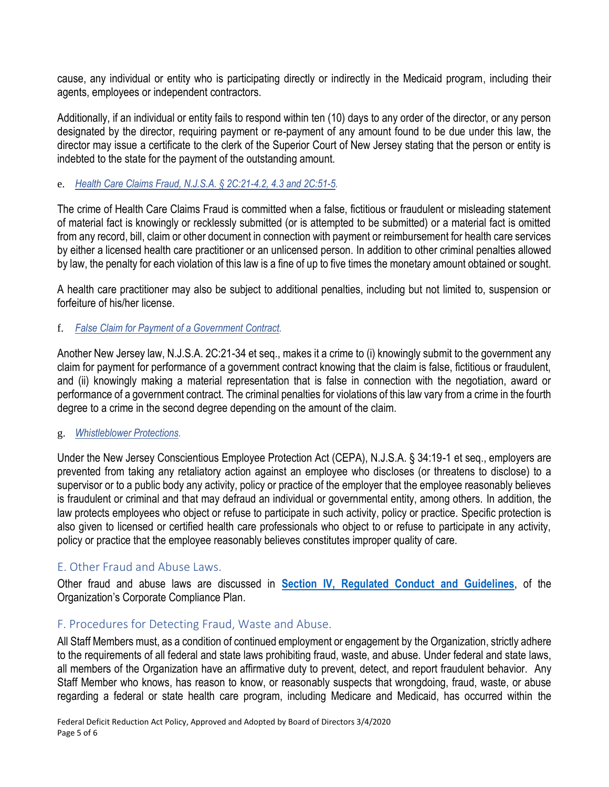cause, any individual or entity who is participating directly or indirectly in the Medicaid program, including their agents, employees or independent contractors.

Additionally, if an individual or entity fails to respond within ten (10) days to any order of the director, or any person designated by the director, requiring payment or re-payment of any amount found to be due under this law, the director may issue a certificate to the clerk of the Superior Court of New Jersey stating that the person or entity is indebted to the state for the payment of the outstanding amount.

#### e. *Health Care Claims Fraud, N.J.S.A. § 2C:21-4.2, 4.3 and 2C:51-5.*

The crime of Health Care Claims Fraud is committed when a false, fictitious or fraudulent or misleading statement of material fact is knowingly or recklessly submitted (or is attempted to be submitted) or a material fact is omitted from any record, bill, claim or other document in connection with payment or reimbursement for health care services by either a licensed health care practitioner or an unlicensed person. In addition to other criminal penalties allowed by law, the penalty for each violation of this law is a fine of up to five times the monetary amount obtained or sought.

A health care practitioner may also be subject to additional penalties, including but not limited to, suspension or forfeiture of his/her license.

#### f. *False Claim for Payment of a Government Contract.*

Another New Jersey law, N.J.S.A. 2C:21-34 et seq., makes it a crime to (i) knowingly submit to the government any claim for payment for performance of a government contract knowing that the claim is false, fictitious or fraudulent, and (ii) knowingly making a material representation that is false in connection with the negotiation, award or performance of a government contract. The criminal penalties for violations of this law vary from a crime in the fourth degree to a crime in the second degree depending on the amount of the claim.

#### g. *Whistleblower Protections.*

Under the New Jersey Conscientious Employee Protection Act (CEPA), N.J.S.A. § 34:19-1 et seq., employers are prevented from taking any retaliatory action against an employee who discloses (or threatens to disclose) to a supervisor or to a public body any activity, policy or practice of the employer that the employee reasonably believes is fraudulent or criminal and that may defraud an individual or governmental entity, among others. In addition, the law protects employees who object or refuse to participate in such activity, policy or practice. Specific protection is also given to licensed or certified health care professionals who object to or refuse to participate in any activity, policy or practice that the employee reasonably believes constitutes improper quality of care.

# E. Other Fraud and Abuse Laws.

Other fraud and abuse laws are discussed in **Section IV, Regulated Conduct and Guidelines**, of the Organization's Corporate Compliance Plan.

# F. Procedures for Detecting Fraud, Waste and Abuse.

All Staff Members must, as a condition of continued employment or engagement by the Organization, strictly adhere to the requirements of all federal and state laws prohibiting fraud, waste, and abuse. Under federal and state laws, all members of the Organization have an affirmative duty to prevent, detect, and report fraudulent behavior. Any Staff Member who knows, has reason to know, or reasonably suspects that wrongdoing, fraud, waste, or abuse regarding a federal or state health care program, including Medicare and Medicaid, has occurred within the